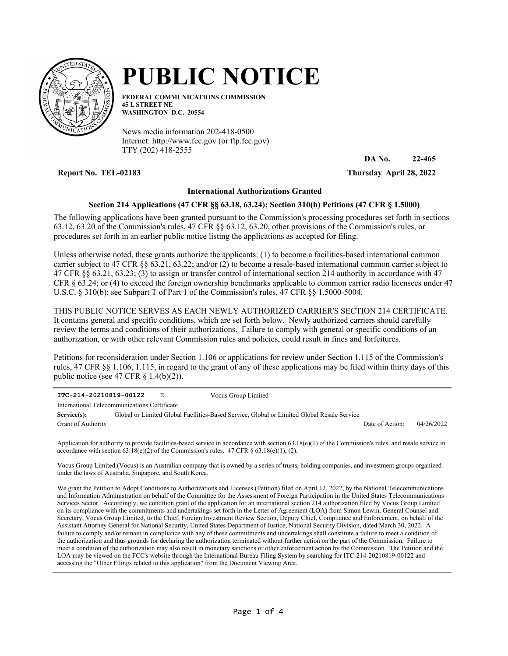

## **PUBLIC NOTICE**

**FEDERAL COMMUNICATIONS COMMISSION 45 L STREET NE WASHINGTON D.C. 20554**

News media information 202-418-0500 Internet: http://www.fcc.gov (or ftp.fcc.gov) TTY (202) 418-2555

**Report No. TEL-02183 Thursday April 28, 2022**

**DA No. 22-465**

## **International Authorizations Granted**

## **Section 214 Applications (47 CFR §§ 63.18, 63.24); Section 310(b) Petitions (47 CFR § 1.5000)**

The following applications have been granted pursuant to the Commission's processing procedures set forth in sections 63.12, 63.20 of the Commission's rules, 47 CFR §§ 63.12, 63.20, other provisions of the Commission's rules, or procedures set forth in an earlier public notice listing the applications as accepted for filing.

Unless otherwise noted, these grants authorize the applicants: (1) to become a facilities-based international common carrier subject to 47 CFR §§ 63.21, 63.22; and/or (2) to become a resale-based international common carrier subject to 47 CFR §§ 63.21, 63.23; (3) to assign or transfer control of international section 214 authority in accordance with 47 CFR § 63.24; or (4) to exceed the foreign ownership benchmarks applicable to common carrier radio licensees under 47 U.S.C. § 310(b); see Subpart T of Part 1 of the Commission's rules, 47 CFR §§ 1.5000-5004.

THIS PUBLIC NOTICE SERVES AS EACH NEWLY AUTHORIZED CARRIER'S SECTION 214 CERTIFICATE. It contains general and specific conditions, which are set forth below. Newly authorized carriers should carefully review the terms and conditions of their authorizations. Failure to comply with general or specific conditions of an authorization, or with other relevant Commission rules and policies, could result in fines and forfeitures.

Petitions for reconsideration under Section 1.106 or applications for review under Section 1.115 of the Commission's rules, 47 CFR §§ 1.106, 1.115, in regard to the grant of any of these applications may be filed within thirty days of this public notice (see 47 CFR  $\S$  1.4(b)(2)).

| ITC-214-20210819-00122                       |  | Е | Vocus Group Limited                                                                        |                 |            |
|----------------------------------------------|--|---|--------------------------------------------------------------------------------------------|-----------------|------------|
| International Telecommunications Certificate |  |   |                                                                                            |                 |            |
| Service(s):                                  |  |   | Global or Limited Global Facilities-Based Service, Global or Limited Global Resale Service |                 |            |
| <b>Grant of Authority</b>                    |  |   |                                                                                            | Date of Action: | 04/26/2022 |

Application for authority to provide facilities-based service in accordance with section  $63.18(e)(1)$  of the Commission's rules, and resale service in accordance with section  $63.18(e)(2)$  of the Commission's rules.  $47$  CFR  $\S 63.18(e)(1)$ , (2).

Vocus Group Limited (Vocus) is an Australian company that is owned by a series of trusts, holding companies, and investment groups organized under the laws of Australia, Singapore, and South Korea.

We grant the Petition to Adopt Conditions to Authorizations and Licenses (Petition) filed on April 12, 2022, by the National Telecommunications and Information Administration on behalf of the Committee for the Assessment of Foreign Participation in the United States Telecommunications Services Sector. Accordingly, we condition grant of the application for an international section 214 authorization filed by Vocus Group Limited on its compliance with the commitments and undertakings set forth in the Letter of Agreement (LOA) from Simon Lewin, General Counsel and Secretary, Vocus Group Limited, to the Chief, Foreign Investment Review Section, Deputy Chief, Compliance and Enforcement, on behalf of the Assistant Attorney General for National Security, United States Department of Justice, National Security Division, dated March 30, 2022. A failure to comply and/or remain in compliance with any of these commitments and undertakings shall constitute a failure to meet a condition of the authorization and thus grounds for declaring the authorization terminated without further action on the part of the Commission. Failure to meet a condition of the authorization may also result in monetary sanctions or other enforcement action by the Commission. The Petition and the LOA may be viewed on the FCC's website through the International Bureau Filing System by searching for ITC-214-20210819-00122 and accessing the "Other Filings related to this application" from the Document Viewing Area.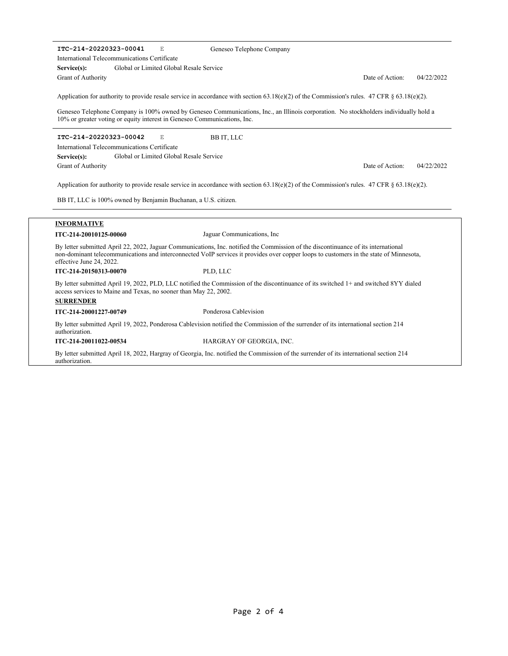**ITC-214-20220323-00041** E Global or Limited Global Resale Service Date of Action: 04/22/2022 **Service(s):** Application for authority to provide resale service in accordance with section 63.18(e)(2) of the Commission's rules. 47 CFR § 63.18(e)(2). Geneseo Telephone Company is 100% owned by Geneseo Communications, Inc., an Illinois corporation. No stockholders individually hold a 10% or greater voting or equity interest in Geneseo Communications, Inc. Grant of Authority International Telecommunications Certificate Geneseo Telephone Company **ITC-214-20220323-00042** E Global or Limited Global Resale Service Date of Action: 04/22/2022 **Service(s):** Application for authority to provide resale service in accordance with section 63.18(e)(2) of the Commission's rules. 47 CFR § 63.18(e)(2). BB IT, LLC is 100% owned by Benjamin Buchanan, a U.S. citizen. Grant of Authority International Telecommunications Certificate BB IT, LLC **INFORMATIVE ITC-214-20010125-00060** Jaguar Communications, Inc By letter submitted April 22, 2022, Jaguar Communications, Inc. notified the Commission of the discontinuance of its international non-dominant telecommunications and interconnected VoIP services it provides over copper loops to customers in the state of Minnesota, effective June 24, 2022. **ITC-214-20150313-00070** PLD, LLC By letter submitted April 19, 2022, PLD, LLC notified the Commission of the discontinuance of its switched 1+ and switched 8YY dialed access services to Maine and Texas, no sooner than May 22, 2002. **SURRENDER ITC-214-20001227-00749** Ponderosa Cablevision By letter submitted April 19, 2022, Ponderosa Cablevision notified the Commission of the surrender of its international section 214 authorization. **ITC-214-20011022-00534** HARGRAY OF GEORGIA, INC. By letter submitted April 18, 2022, Hargray of Georgia, Inc. notified the Commission of the surrender of its international section 214

authorization.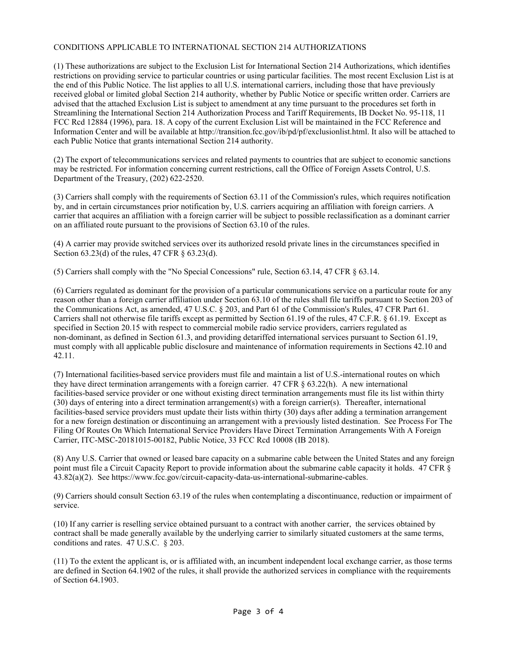## CONDITIONS APPLICABLE TO INTERNATIONAL SECTION 214 AUTHORIZATIONS

(1) These authorizations are subject to the Exclusion List for International Section 214 Authorizations, which identifies restrictions on providing service to particular countries or using particular facilities. The most recent Exclusion List is at the end of this Public Notice. The list applies to all U.S. international carriers, including those that have previously received global or limited global Section 214 authority, whether by Public Notice or specific written order. Carriers are advised that the attached Exclusion List is subject to amendment at any time pursuant to the procedures set forth in Streamlining the International Section 214 Authorization Process and Tariff Requirements, IB Docket No. 95-118, 11 FCC Rcd 12884 (1996), para. 18. A copy of the current Exclusion List will be maintained in the FCC Reference and Information Center and will be available at http://transition.fcc.gov/ib/pd/pf/exclusionlist.html. It also will be attached to each Public Notice that grants international Section 214 authority.

(2) The export of telecommunications services and related payments to countries that are subject to economic sanctions may be restricted. For information concerning current restrictions, call the Office of Foreign Assets Control, U.S. Department of the Treasury, (202) 622-2520.

(3) Carriers shall comply with the requirements of Section 63.11 of the Commission's rules, which requires notification by, and in certain circumstances prior notification by, U.S. carriers acquiring an affiliation with foreign carriers. A carrier that acquires an affiliation with a foreign carrier will be subject to possible reclassification as a dominant carrier on an affiliated route pursuant to the provisions of Section 63.10 of the rules.

(4) A carrier may provide switched services over its authorized resold private lines in the circumstances specified in Section 63.23(d) of the rules, 47 CFR § 63.23(d).

(5) Carriers shall comply with the "No Special Concessions" rule, Section 63.14, 47 CFR § 63.14.

(6) Carriers regulated as dominant for the provision of a particular communications service on a particular route for any reason other than a foreign carrier affiliation under Section 63.10 of the rules shall file tariffs pursuant to Section 203 of the Communications Act, as amended, 47 U.S.C. § 203, and Part 61 of the Commission's Rules, 47 CFR Part 61. Carriers shall not otherwise file tariffs except as permitted by Section 61.19 of the rules, 47 C.F.R. § 61.19. Except as specified in Section 20.15 with respect to commercial mobile radio service providers, carriers regulated as non-dominant, as defined in Section 61.3, and providing detariffed international services pursuant to Section 61.19, must comply with all applicable public disclosure and maintenance of information requirements in Sections 42.10 and 42.11.

(7) International facilities-based service providers must file and maintain a list of U.S.-international routes on which they have direct termination arrangements with a foreign carrier. 47 CFR § 63.22(h). A new international facilities-based service provider or one without existing direct termination arrangements must file its list within thirty (30) days of entering into a direct termination arrangement(s) with a foreign carrier(s). Thereafter, international facilities-based service providers must update their lists within thirty (30) days after adding a termination arrangement for a new foreign destination or discontinuing an arrangement with a previously listed destination. See Process For The Filing Of Routes On Which International Service Providers Have Direct Termination Arrangements With A Foreign Carrier, ITC-MSC-20181015-00182, Public Notice, 33 FCC Rcd 10008 (IB 2018).

(8) Any U.S. Carrier that owned or leased bare capacity on a submarine cable between the United States and any foreign point must file a Circuit Capacity Report to provide information about the submarine cable capacity it holds. 47 CFR § 43.82(a)(2). See https://www.fcc.gov/circuit-capacity-data-us-international-submarine-cables.

(9) Carriers should consult Section 63.19 of the rules when contemplating a discontinuance, reduction or impairment of service.

(10) If any carrier is reselling service obtained pursuant to a contract with another carrier, the services obtained by contract shall be made generally available by the underlying carrier to similarly situated customers at the same terms, conditions and rates. 47 U.S.C. § 203.

(11) To the extent the applicant is, or is affiliated with, an incumbent independent local exchange carrier, as those terms are defined in Section 64.1902 of the rules, it shall provide the authorized services in compliance with the requirements of Section 64.1903.